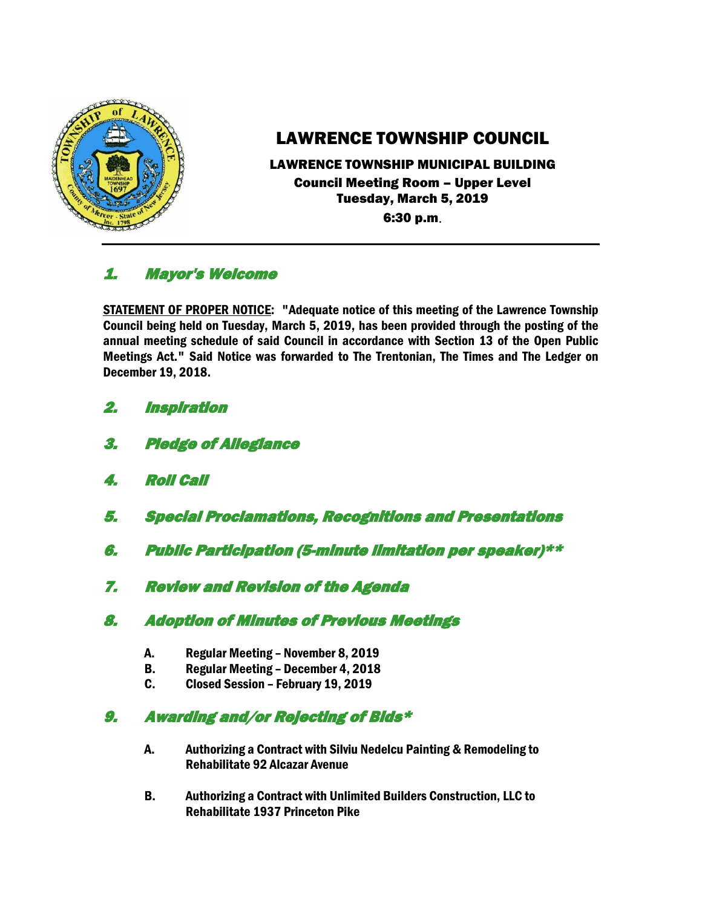

# LAWRENCE TOWNSHIP COUNCIL

LAWRENCE TOWNSHIP MUNICIPAL BUILDING

Council Meeting Room – Upper Level Tuesday, March 5, 2019 6:30 p.m.

# 1. Mayor's Welcome

STATEMENT OF PROPER NOTICE: "Adequate notice of this meeting of the Lawrence Township Council being held on Tuesday, March 5, 2019, has been provided through the posting of the annual meeting schedule of said Council in accordance with Section 13 of the Open Public Meetings Act." Said Notice was forwarded to The Trentonian, The Times and The Ledger on December 19, 2018.

- 2. Inspiration
- 3. Pledge of Allegiance
- 4. Roll Call
- 5. Special Proclamations, Recognitions and Presentations
- 6. Public Participation (5-minute limitation per speaker)\*\*
- 7. Review and Revision of the Agenda
- 8. Adoption of Minutes of Previous Meetings
	- A. Regular Meeting November 8, 2019
	- B. Regular Meeting December 4, 2018
	- C. Closed Session February 19, 2019

# 9. Awarding and/or Rejecting of Bids\*

- A. Authorizing a Contract with Silviu Nedelcu Painting & Remodeling to Rehabilitate 92 Alcazar Avenue
- B. Authorizing a Contract with Unlimited Builders Construction, LLC to Rehabilitate 1937 Princeton Pike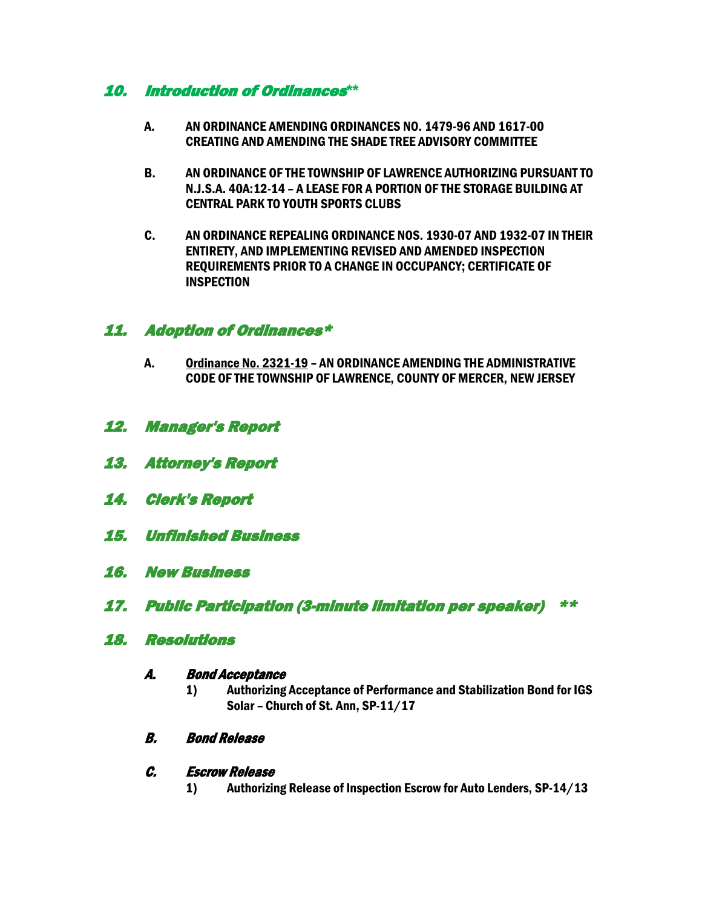### 10. Introduction of Ordinances**\*\***

- A. AN ORDINANCE AMENDING ORDINANCES NO. 1479-96 AND 1617-00 CREATING AND AMENDING THE SHADE TREE ADVISORY COMMITTEE
- B. AN ORDINANCE OF THE TOWNSHIP OF LAWRENCE AUTHORIZING PURSUANT TO N.J.S.A. 40A:12-14 – A LEASE FOR A PORTION OF THE STORAGE BUILDING AT CENTRAL PARK TO YOUTH SPORTS CLUBS
- C. AN ORDINANCE REPEALING ORDINANCE NOS. 1930-07 AND 1932-07 IN THEIR ENTIRETY, AND IMPLEMENTING REVISED AND AMENDED INSPECTION REQUIREMENTS PRIOR TO A CHANGE IN OCCUPANCY; CERTIFICATE OF INSPECTION

# 11. Adoption of Ordinances\*

- A. Ordinance No. 2321-19 AN ORDINANCE AMENDING THE ADMINISTRATIVE CODE OF THE TOWNSHIP OF LAWRENCE, COUNTY OF MERCER, NEW JERSEY
- 12. Manager's Report
- 13. Attorney's Report
- 14. Clerk's Report
- 15. Unfinished Business
- 16. New Business
- 17. Public Participation (3-minute limitation per speaker) \*\*

#### 18. Resolutions

#### A. Bond Acceptance

- 1) Authorizing Acceptance of Performance and Stabilization Bond for IGS Solar – Church of St. Ann, SP-11/17
- B. Bond Release

#### C. Escrow Release

1) Authorizing Release of Inspection Escrow for Auto Lenders, SP-14/13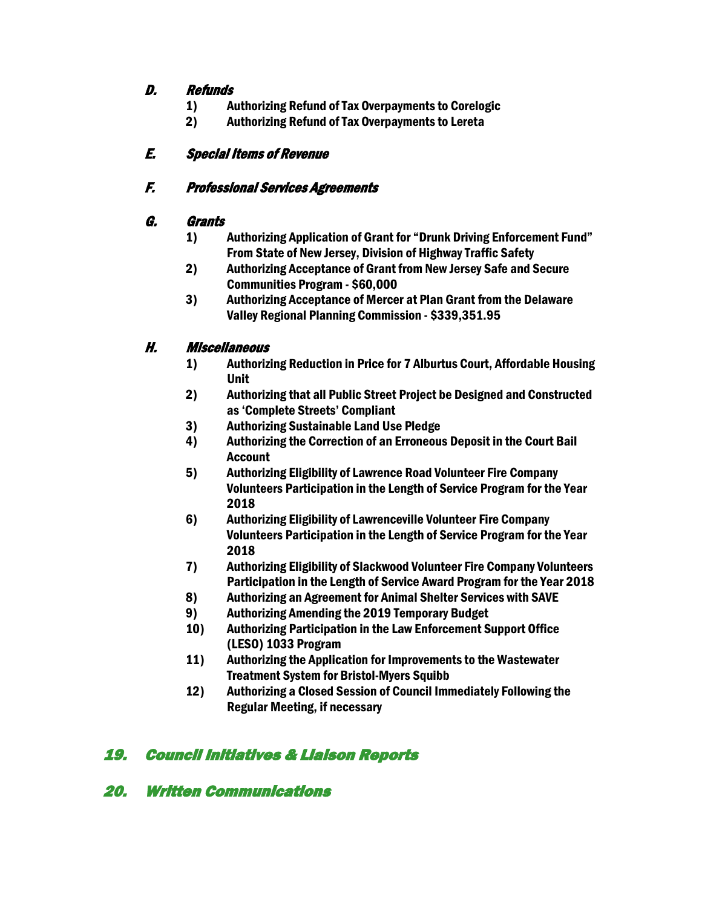#### D. Refunds

- 1) Authorizing Refund of Tax Overpayments to Corelogic
- 2) Authorizing Refund of Tax Overpayments to Lereta

# E. Special Items of Revenue

# F. Professional Services Agreements

# G. Grants

- 1) Authorizing Application of Grant for "Drunk Driving Enforcement Fund" From State of New Jersey, Division of Highway Traffic Safety
- 2) Authorizing Acceptance of Grant from New Jersey Safe and Secure Communities Program - \$60,000
- 3) Authorizing Acceptance of Mercer at Plan Grant from the Delaware Valley Regional Planning Commission - \$339,351.95

# H. Miscellaneous

- 1) Authorizing Reduction in Price for 7 Alburtus Court, Affordable Housing Unit
- 2) Authorizing that all Public Street Project be Designed and Constructed as 'Complete Streets' Compliant
- 3) Authorizing Sustainable Land Use Pledge
- 4) Authorizing the Correction of an Erroneous Deposit in the Court Bail Account
- 5) Authorizing Eligibility of Lawrence Road Volunteer Fire Company Volunteers Participation in the Length of Service Program for the Year 2018
- 6) Authorizing Eligibility of Lawrenceville Volunteer Fire Company Volunteers Participation in the Length of Service Program for the Year 2018
- 7) Authorizing Eligibility of Slackwood Volunteer Fire Company Volunteers Participation in the Length of Service Award Program for the Year 2018
- 8) Authorizing an Agreement for Animal Shelter Services with SAVE
- 9) Authorizing Amending the 2019 Temporary Budget
- 10) Authorizing Participation in the Law Enforcement Support Office (LESO) 1033 Program
- 11) Authorizing the Application for Improvements to the Wastewater Treatment System for Bristol-Myers Squibb
- 12) Authorizing a Closed Session of Council Immediately Following the Regular Meeting, if necessary

# 19. Council Initiatives & Liaison Reports

# 20. Written Communications